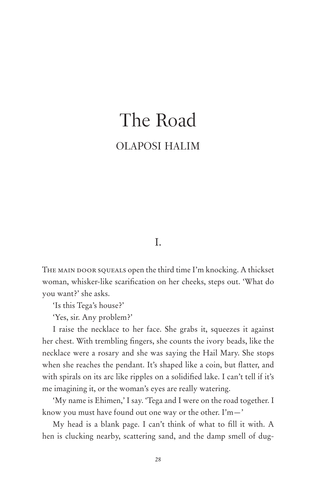# The Road OLAPOSI HALIM

### I.

THE MAIN DOOR SQUEALS open the third time I'm knocking. A thickset woman, whisker-like scarification on her cheeks, steps out. 'What do you want?' she asks.

'Is this Tega's house?'

'Yes, sir. Any problem?'

I raise the necklace to her face. She grabs it, squeezes it against her chest. With trembling fingers, she counts the ivory beads, like the necklace were a rosary and she was saying the Hail Mary. She stops when she reaches the pendant. It's shaped like a coin, but flatter, and with spirals on its arc like ripples on a solidified lake. I can't tell if it's me imagining it, or the woman's eyes are really watering.

'My name is Ehimen,' I say. 'Tega and I were on the road together. I know you must have found out one way or the other. I'm—'

My head is a blank page. I can't think of what to fill it with. A hen is clucking nearby, scattering sand, and the damp smell of dug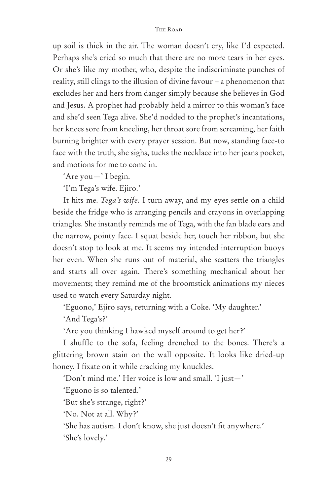up soil is thick in the air. The woman doesn't cry, like I'd expected. Perhaps she's cried so much that there are no more tears in her eyes. Or she's like my mother, who, despite the indiscriminate punches of reality, still clings to the illusion of divine favour – a phenomenon that excludes her and hers from danger simply because she believes in God and Jesus. A prophet had probably held a mirror to this woman's face and she'd seen Tega alive. She'd nodded to the prophet's incantations, her knees sore from kneeling, her throat sore from screaming, her faith burning brighter with every prayer session. But now, standing face-to face with the truth, she sighs, tucks the necklace into her jeans pocket, and motions for me to come in.

'Are you—' I begin.

'I'm Tega's wife. Ejiro.'

It hits me. *Tega's wife*. I turn away, and my eyes settle on a child beside the fridge who is arranging pencils and crayons in overlapping triangles. She instantly reminds me of Tega, with the fan blade ears and the narrow, pointy face. I squat beside her, touch her ribbon, but she doesn't stop to look at me. It seems my intended interruption buoys her even. When she runs out of material, she scatters the triangles and starts all over again. There's something mechanical about her movements; they remind me of the broomstick animations my nieces used to watch every Saturday night.

'Eguono,' Ejiro says, returning with a Coke. 'My daughter.'

'And Tega's?'

'Are you thinking I hawked myself around to get her?'

I shuffle to the sofa, feeling drenched to the bones. There's a glittering brown stain on the wall opposite. It looks like dried-up honey. I fixate on it while cracking my knuckles.

'Don't mind me.' Her voice is low and small. 'I just—'

'Eguono is so talented.'

'But she's strange, right?'

'No. Not at all. Why?'

'She has autism. I don't know, she just doesn't fit anywhere.' 'She's lovely.'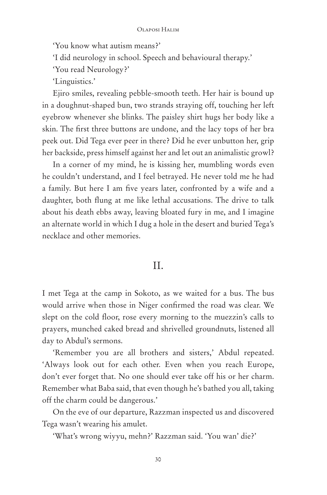'You know what autism means?'

'I did neurology in school. Speech and behavioural therapy.'

'You read Neurology?'

'Linguistics.'

Ejiro smiles, revealing pebble-smooth teeth. Her hair is bound up in a doughnut-shaped bun, two strands straying off, touching her left eyebrow whenever she blinks. The paisley shirt hugs her body like a skin. The first three buttons are undone, and the lacy tops of her bra peek out. Did Tega ever peer in there? Did he ever unbutton her, grip her backside, press himself against her and let out an animalistic growl?

In a corner of my mind, he is kissing her, mumbling words even he couldn't understand, and I feel betrayed. He never told me he had a family. But here I am five years later, confronted by a wife and a daughter, both flung at me like lethal accusations. The drive to talk about his death ebbs away, leaving bloated fury in me, and I imagine an alternate world in which I dug a hole in the desert and buried Tega's necklace and other memories.

## II.

I met Tega at the camp in Sokoto, as we waited for a bus. The bus would arrive when those in Niger confirmed the road was clear. We slept on the cold floor, rose every morning to the muezzin's calls to prayers, munched caked bread and shrivelled groundnuts, listened all day to Abdul's sermons.

'Remember you are all brothers and sisters,' Abdul repeated. 'Always look out for each other. Even when you reach Europe, don't ever forget that. No one should ever take off his or her charm. Remember what Baba said, that even though he's bathed you all, taking off the charm could be dangerous.'

On the eve of our departure, Razzman inspected us and discovered Tega wasn't wearing his amulet.

'What's wrong wiyyu, mehn?' Razzman said. 'You wan' die?'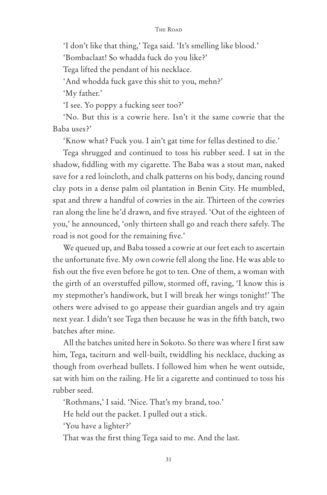'I don't like that thing,' Tega said. 'It's smelling like blood.'

'Bombaclaat! So whadda fuck do you like?'

Tega lifted the pendant of his necklace.

'And whodda fuck gave this shit to you, mehn?'

'My father.'

'I see. Yo poppy a fucking seer too?'

'No. But this is a cowrie here. Isn't it the same cowrie that the Baba uses?'

'Know what? Fuck you. I ain't gat time for fellas destined to die.'

Tega shrugged and continued to toss his rubber seed. I sat in the shadow, fiddling with my cigarette. The Baba was a stout man, naked save for a red loincloth, and chalk patterns on his body, dancing round clay pots in a dense palm oil plantation in Benin City. He mumbled, spat and threw a handful of cowries in the air. Thirteen of the cowries ran along the line he'd drawn, and five strayed. 'Out of the eighteen of you,' he announced, 'only thirteen shall go and reach there safely. The road is not good for the remaining five.'

We queued up, and Baba tossed a cowrie at our feet each to ascertain the unfortunate five. My own cowrie fell along the line. He was able to fish out the five even before he got to ten. One of them, a woman with the girth of an overstuffed pillow, stormed off, raving, 'I know this is my stepmother's handiwork, but I will break her wings tonight!' The others were advised to go appease their guardian angels and try again next year. I didn't see Tega then because he was in the fifth batch, two batches after mine.

All the batches united here in Sokoto. So there was where I first saw him, Tega, taciturn and well-built, twiddling his necklace, ducking as though from overhead bullets. I followed him when he went outside, sat with him on the railing. He lit a cigarette and continued to toss his rubber seed.

'Rothmans,' I said. 'Nice. That's my brand, too.'

He held out the packet. I pulled out a stick.

'You have a lighter?'

That was the first thing Tega said to me. And the last.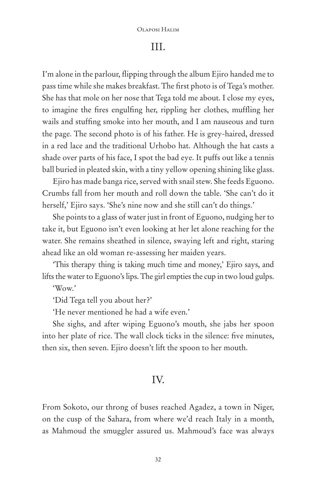### III.

I'm alone in the parlour, flipping through the album Ejiro handed me to pass time while she makes breakfast. The first photo is of Tega's mother. She has that mole on her nose that Tega told me about. I close my eyes, to imagine the fires engulfing her, rippling her clothes, muffling her wails and stuffing smoke into her mouth, and I am nauseous and turn the page. The second photo is of his father. He is grey-haired, dressed in a red lace and the traditional Urhobo hat. Although the hat casts a shade over parts of his face, I spot the bad eye. It puffs out like a tennis ball buried in pleated skin, with a tiny yellow opening shining like glass.

Ejiro has made banga rice, served with snail stew. She feeds Eguono. Crumbs fall from her mouth and roll down the table. 'She can't do it herself,' Ejiro says. 'She's nine now and she still can't do things.'

She points to a glass of water just in front of Eguono, nudging her to take it, but Eguono isn't even looking at her let alone reaching for the water. She remains sheathed in silence, swaying left and right, staring ahead like an old woman re-assessing her maiden years.

'This therapy thing is taking much time and money,' Ejiro says, and lifts the water to Eguono's lips. The girl empties the cup in two loud gulps.

'Wow.'

'Did Tega tell you about her?'

'He never mentioned he had a wife even.'

She sighs, and after wiping Eguono's mouth, she jabs her spoon into her plate of rice. The wall clock ticks in the silence: five minutes, then six, then seven. Ejiro doesn't lift the spoon to her mouth.

### IV.

From Sokoto, our throng of buses reached Agadez, a town in Niger, on the cusp of the Sahara, from where we'd reach Italy in a month, as Mahmoud the smuggler assured us. Mahmoud's face was always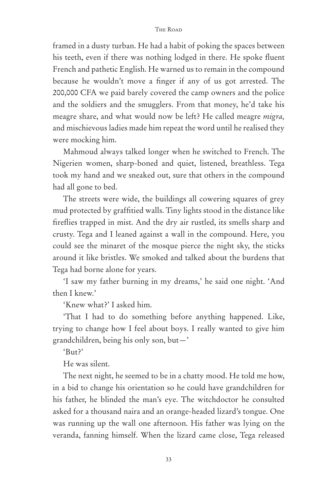framed in a dusty turban. He had a habit of poking the spaces between his teeth, even if there was nothing lodged in there. He spoke fluent French and pathetic English. He warned us to remain in the compound because he wouldn't move a finger if any of us got arrested. The 200,000 CFA we paid barely covered the camp owners and the police and the soldiers and the smugglers. From that money, he'd take his meagre share, and what would now be left? He called meagre *migra,* and mischievous ladies made him repeat the word until he realised they were mocking him.

Mahmoud always talked longer when he switched to French. The Nigerien women, sharp-boned and quiet, listened, breathless. Tega took my hand and we sneaked out, sure that others in the compound had all gone to bed.

The streets were wide, the buildings all cowering squares of grey mud protected by graffitied walls. Tiny lights stood in the distance like fireflies trapped in mist. And the dry air rustled, its smells sharp and crusty. Tega and I leaned against a wall in the compound. Here, you could see the minaret of the mosque pierce the night sky, the sticks around it like bristles. We smoked and talked about the burdens that Tega had borne alone for years.

'I saw my father burning in my dreams,' he said one night. 'And then I knew.'

'Knew what?' I asked him.

'That I had to do something before anything happened. Like, trying to change how I feel about boys. I really wanted to give him grandchildren, being his only son, but—'

'But?'

He was silent.

The next night, he seemed to be in a chatty mood. He told me how, in a bid to change his orientation so he could have grandchildren for his father, he blinded the man's eye. The witchdoctor he consulted asked for a thousand naira and an orange-headed lizard's tongue. One was running up the wall one afternoon. His father was lying on the veranda, fanning himself. When the lizard came close, Tega released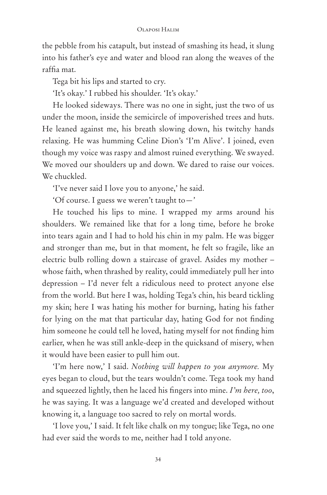the pebble from his catapult, but instead of smashing its head, it slung into his father's eye and water and blood ran along the weaves of the raffia mat.

Tega bit his lips and started to cry.

'It's okay.' I rubbed his shoulder. 'It's okay.'

He looked sideways. There was no one in sight, just the two of us under the moon, inside the semicircle of impoverished trees and huts. He leaned against me, his breath slowing down, his twitchy hands relaxing. He was humming Celine Dion's 'I'm Alive'. I joined, even though my voice was raspy and almost ruined everything. We swayed. We moved our shoulders up and down. We dared to raise our voices. We chuckled.

'I've never said I love you to anyone,' he said.

'Of course. I guess we weren't taught to—'

He touched his lips to mine. I wrapped my arms around his shoulders. We remained like that for a long time, before he broke into tears again and I had to hold his chin in my palm. He was bigger and stronger than me, but in that moment, he felt so fragile, like an electric bulb rolling down a staircase of gravel. Asides my mother – whose faith, when thrashed by reality, could immediately pull her into depression – I'd never felt a ridiculous need to protect anyone else from the world. But here I was, holding Tega's chin, his beard tickling my skin; here I was hating his mother for burning, hating his father for lying on the mat that particular day, hating God for not finding him someone he could tell he loved, hating myself for not finding him earlier, when he was still ankle-deep in the quicksand of misery, when it would have been easier to pull him out.

'I'm here now,' I said. *Nothing will happen to you anymore.* My eyes began to cloud, but the tears wouldn't come. Tega took my hand and squeezed lightly, then he laced his fingers into mine. *I'm here, too*, he was saying. It was a language we'd created and developed without knowing it, a language too sacred to rely on mortal words.

'I love you,' I said. It felt like chalk on my tongue; like Tega, no one had ever said the words to me, neither had I told anyone.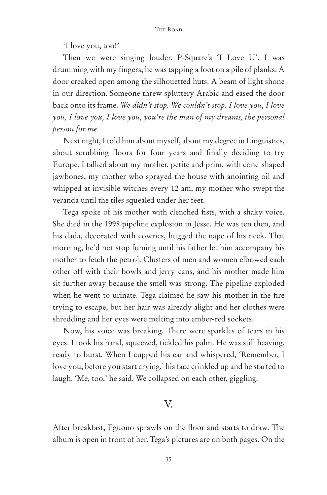'I love you, too!'

Then we were singing louder. P-Square's 'I Love U'. I was drumming with my fingers; he was tapping a foot on a pile of planks. A door creaked open among the silhouetted huts. A beam of light shone in our direction. Someone threw spluttery Arabic and eased the door back onto its frame. *We didn't stop. We couldn't stop. I love you, I love you, I love you, I love you, you're the man of my dreams, the personal person for me.*

Next night, I told him about myself, about my degree in Linguistics, about scrubbing floors for four years and finally deciding to try Europe. I talked about my mother, petite and prim, with cone-shaped jawbones, my mother who sprayed the house with anointing oil and whipped at invisible witches every 12 am, my mother who swept the veranda until the tiles squealed under her feet.

Tega spoke of his mother with clenched fists, with a shaky voice. She died in the 1998 pipeline explosion in Jesse. He was ten then, and his dada, decorated with cowries, hugged the nape of his neck. That morning, he'd not stop fuming until his father let him accompany his mother to fetch the petrol. Clusters of men and women elbowed each other off with their bowls and jerry-cans, and his mother made him sit further away because the smell was strong. The pipeline exploded when he went to urinate. Tega claimed he saw his mother in the fire trying to escape, but her hair was already alight and her clothes were shredding and her eyes were melting into ember-red sockets.

Now, his voice was breaking. There were sparkles of tears in his eyes. I took his hand, squeezed, tickled his palm. He was still heaving, ready to burst. When I cupped his ear and whispered, 'Remember, I love you, before you start crying,' his face crinkled up and he started to laugh. 'Me, too,' he said. We collapsed on each other, giggling.

### V.

After breakfast, Eguono sprawls on the floor and starts to draw. The album is open in front of her. Tega's pictures are on both pages. On the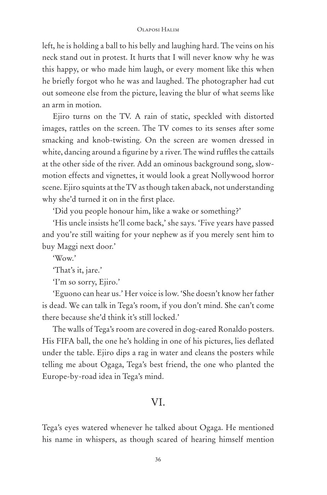left, he is holding a ball to his belly and laughing hard. The veins on his neck stand out in protest. It hurts that I will never know why he was this happy, or who made him laugh, or every moment like this when he briefly forgot who he was and laughed. The photographer had cut out someone else from the picture, leaving the blur of what seems like an arm in motion.

Ejiro turns on the TV. A rain of static, speckled with distorted images, rattles on the screen. The TV comes to its senses after some smacking and knob-twisting. On the screen are women dressed in white, dancing around a figurine by a river. The wind ruffles the cattails at the other side of the river. Add an ominous background song, slowmotion effects and vignettes, it would look a great Nollywood horror scene. Ejiro squints at the TV as though taken aback, not understanding why she'd turned it on in the first place.

'Did you people honour him, like a wake or something?'

'His uncle insists he'll come back,' she says. 'Five years have passed and you're still waiting for your nephew as if you merely sent him to buy Maggi next door.'

'Wow.'

'That's it, jare.'

'I'm so sorry, Ejiro.'

'Eguono can hear us.' Her voice is low. 'She doesn't know her father is dead. We can talk in Tega's room, if you don't mind. She can't come there because she'd think it's still locked.'

The walls of Tega's room are covered in dog-eared Ronaldo posters. His FIFA ball, the one he's holding in one of his pictures, lies deflated under the table. Ejiro dips a rag in water and cleans the posters while telling me about Ogaga, Tega's best friend, the one who planted the Europe-by-road idea in Tega's mind.

### VI.

Tega's eyes watered whenever he talked about Ogaga. He mentioned his name in whispers, as though scared of hearing himself mention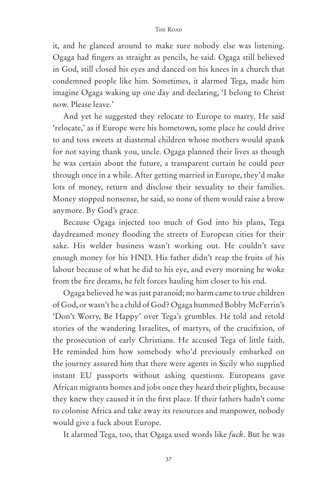it, and he glanced around to make sure nobody else was listening. Ogaga had fingers as straight as pencils, he said. Ogaga still believed in God, still closed his eyes and danced on his knees in a church that condemned people like him. Sometimes, it alarmed Tega, made him imagine Ogaga waking up one day and declaring, 'I belong to Christ now. Please leave.'

And yet he suggested they relocate to Europe to marry. He said 'relocate,' as if Europe were his hometown, some place he could drive to and toss sweets at diastemal children whose mothers would spank for not saying thank you, uncle. Ogaga planned their lives as though he was certain about the future, a transparent curtain he could peer through once in a while. After getting married in Europe, they'd make lots of money, return and disclose their sexuality to their families. Money stopped nonsense, he said, so none of them would raise a brow anymore. By God's grace.

Because Ogaga injected too much of God into his plans, Tega daydreamed money flooding the streets of European cities for their sake. His welder business wasn't working out. He couldn't save enough money for his HND. His father didn't reap the fruits of his labour because of what he did to his eye, and every morning he woke from the fire dreams, he felt forces hauling him closer to his end.

Ogaga believed he was just paranoid; no harm came to true children of God, or wasn't he a child of God? Ogaga hummed Bobby McFerrin's 'Don't Worry, Be Happy' over Tega's grumbles. He told and retold stories of the wandering Israelites, of martyrs, of the crucifixion, of the prosecution of early Christians. He accused Tega of little faith. He reminded him how somebody who'd previously embarked on the journey assured him that there were agents in Sicily who supplied instant EU passports without asking questions. Europeans gave African migrants homes and jobs once they heard their plights, because they knew they caused it in the first place. If their fathers hadn't come to colonise Africa and take away its resources and manpower, nobody would give a fuck about Europe.

It alarmed Tega, too, that Ogaga used words like *fuck*. But he was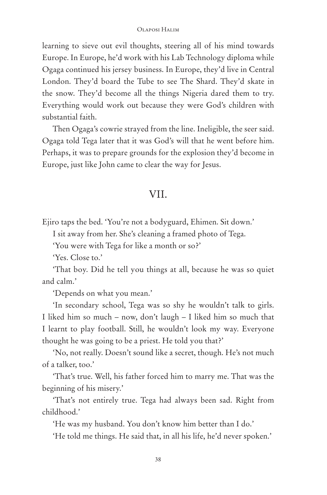learning to sieve out evil thoughts, steering all of his mind towards Europe. In Europe, he'd work with his Lab Technology diploma while Ogaga continued his jersey business. In Europe, they'd live in Central London. They'd board the Tube to see The Shard. They'd skate in the snow. They'd become all the things Nigeria dared them to try. Everything would work out because they were God's children with substantial faith.

Then Ogaga's cowrie strayed from the line. Ineligible, the seer said. Ogaga told Tega later that it was God's will that he went before him. Perhaps, it was to prepare grounds for the explosion they'd become in Europe, just like John came to clear the way for Jesus.

### VII.

Ejiro taps the bed. 'You're not a bodyguard, Ehimen. Sit down.'

I sit away from her. She's cleaning a framed photo of Tega.

'You were with Tega for like a month or so?'

'Yes. Close to.'

'That boy. Did he tell you things at all, because he was so quiet and calm.'

'Depends on what you mean.'

'In secondary school, Tega was so shy he wouldn't talk to girls. I liked him so much – now, don't laugh – I liked him so much that I learnt to play football. Still, he wouldn't look my way. Everyone thought he was going to be a priest. He told you that?'

'No, not really. Doesn't sound like a secret, though. He's not much of a talker, too.'

'That's true. Well, his father forced him to marry me. That was the beginning of his misery.'

'That's not entirely true. Tega had always been sad. Right from childhood.'

'He was my husband. You don't know him better than I do.'

'He told me things. He said that, in all his life, he'd never spoken.'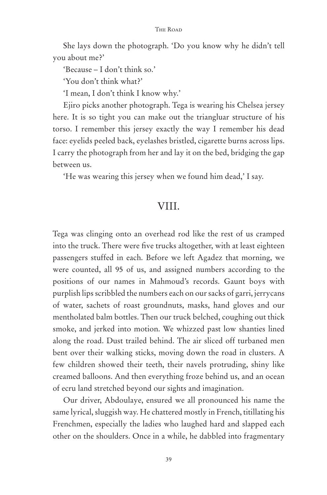She lays down the photograph. 'Do you know why he didn't tell you about me?'

'Because – I don't think so.'

'You don't think what?'

'I mean, I don't think I know why.'

Ejiro picks another photograph. Tega is wearing his Chelsea jersey here. It is so tight you can make out the triangluar structure of his torso. I remember this jersey exactly the way I remember his dead face: eyelids peeled back, eyelashes bristled, cigarette burns across lips. I carry the photograph from her and lay it on the bed, bridging the gap between us.

'He was wearing this jersey when we found him dead,' I say.

### VIII.

Tega was clinging onto an overhead rod like the rest of us cramped into the truck. There were five trucks altogether, with at least eighteen passengers stuffed in each. Before we left Agadez that morning, we were counted, all 95 of us, and assigned numbers according to the positions of our names in Mahmoud's records. Gaunt boys with purplish lips scribbled the numbers each on our sacks of garri, jerrycans of water, sachets of roast groundnuts, masks, hand gloves and our mentholated balm bottles. Then our truck belched, coughing out thick smoke, and jerked into motion. We whizzed past low shanties lined along the road. Dust trailed behind. The air sliced off turbaned men bent over their walking sticks, moving down the road in clusters. A few children showed their teeth, their navels protruding, shiny like creamed balloons. And then everything froze behind us, and an ocean of ecru land stretched beyond our sights and imagination.

Our driver, Abdoulaye, ensured we all pronounced his name the same lyrical, sluggish way. He chattered mostly in French, titillating his Frenchmen, especially the ladies who laughed hard and slapped each other on the shoulders. Once in a while, he dabbled into fragmentary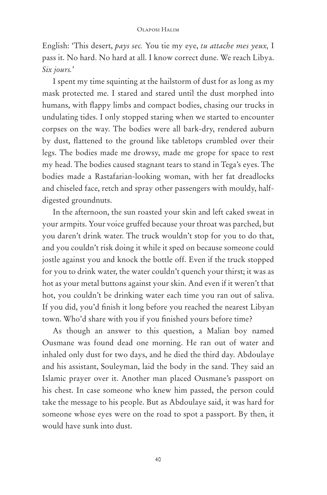English: 'This desert, *pays sec.* You tie my eye, *tu attache mes yeux,* I pass it. No hard. No hard at all. I know correct dune. We reach Libya. *Six jours.*'

I spent my time squinting at the hailstorm of dust for as long as my mask protected me. I stared and stared until the dust morphed into humans, with flappy limbs and compact bodies, chasing our trucks in undulating tides. I only stopped staring when we started to encounter corpses on the way. The bodies were all bark-dry, rendered auburn by dust, flattened to the ground like tabletops crumbled over their legs. The bodies made me drowsy, made me grope for space to rest my head. The bodies caused stagnant tears to stand in Tega's eyes. The bodies made a Rastafarian-looking woman, with her fat dreadlocks and chiseled face, retch and spray other passengers with mouldy, halfdigested groundnuts.

In the afternoon, the sun roasted your skin and left caked sweat in your armpits. Your voice gruffed because your throat was parched, but you daren't drink water. The truck wouldn't stop for you to do that, and you couldn't risk doing it while it sped on because someone could jostle against you and knock the bottle off. Even if the truck stopped for you to drink water, the water couldn't quench your thirst; it was as hot as your metal buttons against your skin. And even if it weren't that hot, you couldn't be drinking water each time you ran out of saliva. If you did, you'd finish it long before you reached the nearest Libyan town. Who'd share with you if you finished yours before time?

As though an answer to this question, a Malian boy named Ousmane was found dead one morning. He ran out of water and inhaled only dust for two days, and he died the third day. Abdoulaye and his assistant, Souleyman, laid the body in the sand. They said an Islamic prayer over it. Another man placed Ousmane's passport on his chest. In case someone who knew him passed, the person could take the message to his people. But as Abdoulaye said, it was hard for someone whose eyes were on the road to spot a passport. By then, it would have sunk into dust.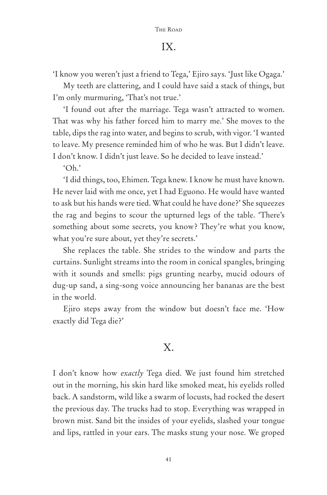# IX.

'I know you weren't just a friend to Tega,' Ejiro says. 'Just like Ogaga.'

My teeth are clattering, and I could have said a stack of things, but I'm only murmuring, 'That's not true.'

'I found out after the marriage. Tega wasn't attracted to women. That was why his father forced him to marry me.' She moves to the table, dips the rag into water, and begins to scrub, with vigor. 'I wanted to leave. My presence reminded him of who he was. But I didn't leave. I don't know. I didn't just leave. So he decided to leave instead.'

 $'$ Oh'

'I did things, too, Ehimen. Tega knew. I know he must have known. He never laid with me once, yet I had Eguono. He would have wanted to ask but his hands were tied. What could he have done?' She squeezes the rag and begins to scour the upturned legs of the table. 'There's something about some secrets, you know? They're what you know, what you're sure about, yet they're secrets.'

She replaces the table. She strides to the window and parts the curtains. Sunlight streams into the room in conical spangles, bringing with it sounds and smells: pigs grunting nearby, mucid odours of dug-up sand, a sing-song voice announcing her bananas are the best in the world.

Ejiro steps away from the window but doesn't face me. 'How exactly did Tega die?'

# X.

I don't know how *exactly* Tega died. We just found him stretched out in the morning, his skin hard like smoked meat, his eyelids rolled back. A sandstorm, wild like a swarm of locusts, had rocked the desert the previous day. The trucks had to stop. Everything was wrapped in brown mist. Sand bit the insides of your eyelids, slashed your tongue and lips, rattled in your ears. The masks stung your nose. We groped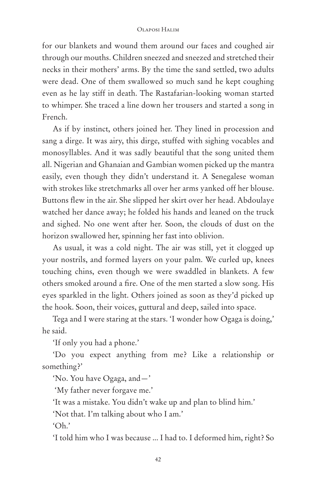for our blankets and wound them around our faces and coughed air through our mouths. Children sneezed and sneezed and stretched their necks in their mothers' arms. By the time the sand settled, two adults were dead. One of them swallowed so much sand he kept coughing even as he lay stiff in death. The Rastafarian-looking woman started to whimper. She traced a line down her trousers and started a song in French.

As if by instinct, others joined her. They lined in procession and sang a dirge. It was airy, this dirge, stuffed with sighing vocables and monosyllables. And it was sadly beautiful that the song united them all. Nigerian and Ghanaian and Gambian women picked up the mantra easily, even though they didn't understand it. A Senegalese woman with strokes like stretchmarks all over her arms yanked off her blouse. Buttons flew in the air. She slipped her skirt over her head. Abdoulaye watched her dance away; he folded his hands and leaned on the truck and sighed. No one went after her. Soon, the clouds of dust on the horizon swallowed her, spinning her fast into oblivion.

As usual, it was a cold night. The air was still, yet it clogged up your nostrils, and formed layers on your palm. We curled up, knees touching chins, even though we were swaddled in blankets. A few others smoked around a fire. One of the men started a slow song. His eyes sparkled in the light. Others joined as soon as they'd picked up the hook. Soon, their voices, guttural and deep, sailed into space.

Tega and I were staring at the stars. 'I wonder how Ogaga is doing,' he said.

'If only you had a phone.'

'Do you expect anything from me? Like a relationship or something?'

'No. You have Ogaga, and—'

'My father never forgave me.'

'It was a mistake. You didn't wake up and plan to blind him.'

'Not that. I'm talking about who I am.'

'Oh.'

'I told him who I was because ... I had to. I deformed him, right? So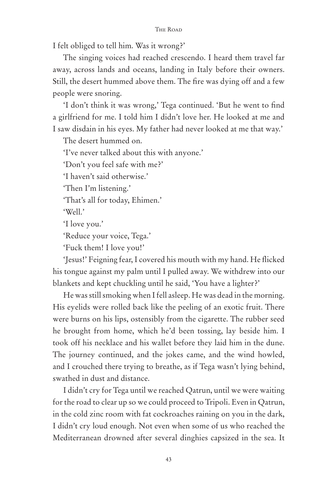I felt obliged to tell him. Was it wrong?'

The singing voices had reached crescendo. I heard them travel far away, across lands and oceans, landing in Italy before their owners. Still, the desert hummed above them. The fire was dying off and a few people were snoring.

'I don't think it was wrong,' Tega continued. 'But he went to find a girlfriend for me. I told him I didn't love her. He looked at me and I saw disdain in his eyes. My father had never looked at me that way.'

The desert hummed on.

'I've never talked about this with anyone.'

'Don't you feel safe with me?'

'I haven't said otherwise.'

'Then I'm listening.'

'That's all for today, Ehimen.'

'Well. $'$ 

'I love you.'

'Reduce your voice, Tega.'

'Fuck them! I love you!'

'Jesus!' Feigning fear, I covered his mouth with my hand. He flicked his tongue against my palm until I pulled away. We withdrew into our blankets and kept chuckling until he said, 'You have a lighter?'

He was still smoking when I fell asleep. He was dead in the morning. His eyelids were rolled back like the peeling of an exotic fruit. There were burns on his lips, ostensibly from the cigarette. The rubber seed he brought from home, which he'd been tossing, lay beside him. I took off his necklace and his wallet before they laid him in the dune. The journey continued, and the jokes came, and the wind howled, and I crouched there trying to breathe, as if Tega wasn't lying behind, swathed in dust and distance.

I didn't cry for Tega until we reached Qatrun, until we were waiting for the road to clear up so we could proceed to Tripoli. Even in Qatrun, in the cold zinc room with fat cockroaches raining on you in the dark, I didn't cry loud enough. Not even when some of us who reached the Mediterranean drowned after several dinghies capsized in the sea. It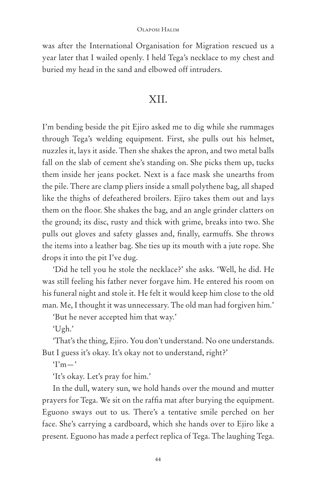was after the International Organisation for Migration rescued us a year later that I wailed openly. I held Tega's necklace to my chest and buried my head in the sand and elbowed off intruders.

### XII.

I'm bending beside the pit Ejiro asked me to dig while she rummages through Tega's welding equipment. First, she pulls out his helmet, nuzzles it, lays it aside. Then she shakes the apron, and two metal balls fall on the slab of cement she's standing on. She picks them up, tucks them inside her jeans pocket. Next is a face mask she unearths from the pile. There are clamp pliers inside a small polythene bag, all shaped like the thighs of defeathered broilers. Ejiro takes them out and lays them on the floor. She shakes the bag, and an angle grinder clatters on the ground; its disc, rusty and thick with grime, breaks into two. She pulls out gloves and safety glasses and, finally, earmuffs. She throws the items into a leather bag. She ties up its mouth with a jute rope. She drops it into the pit I've dug.

'Did he tell you he stole the necklace?' she asks. 'Well, he did. He was still feeling his father never forgave him. He entered his room on his funeral night and stole it. He felt it would keep him close to the old man. Me, I thought it was unnecessary. The old man had forgiven him.'

'But he never accepted him that way.'

'Ugh.'

'That's the thing, Ejiro. You don't understand. No one understands. But I guess it's okay. It's okay not to understand, right?'

 $T<sub>m</sub>$ 

'It's okay. Let's pray for him.'

In the dull, watery sun, we hold hands over the mound and mutter prayers for Tega. We sit on the raffia mat after burying the equipment. Eguono sways out to us. There's a tentative smile perched on her face. She's carrying a cardboard, which she hands over to Ejiro like a present. Eguono has made a perfect replica of Tega. The laughing Tega.